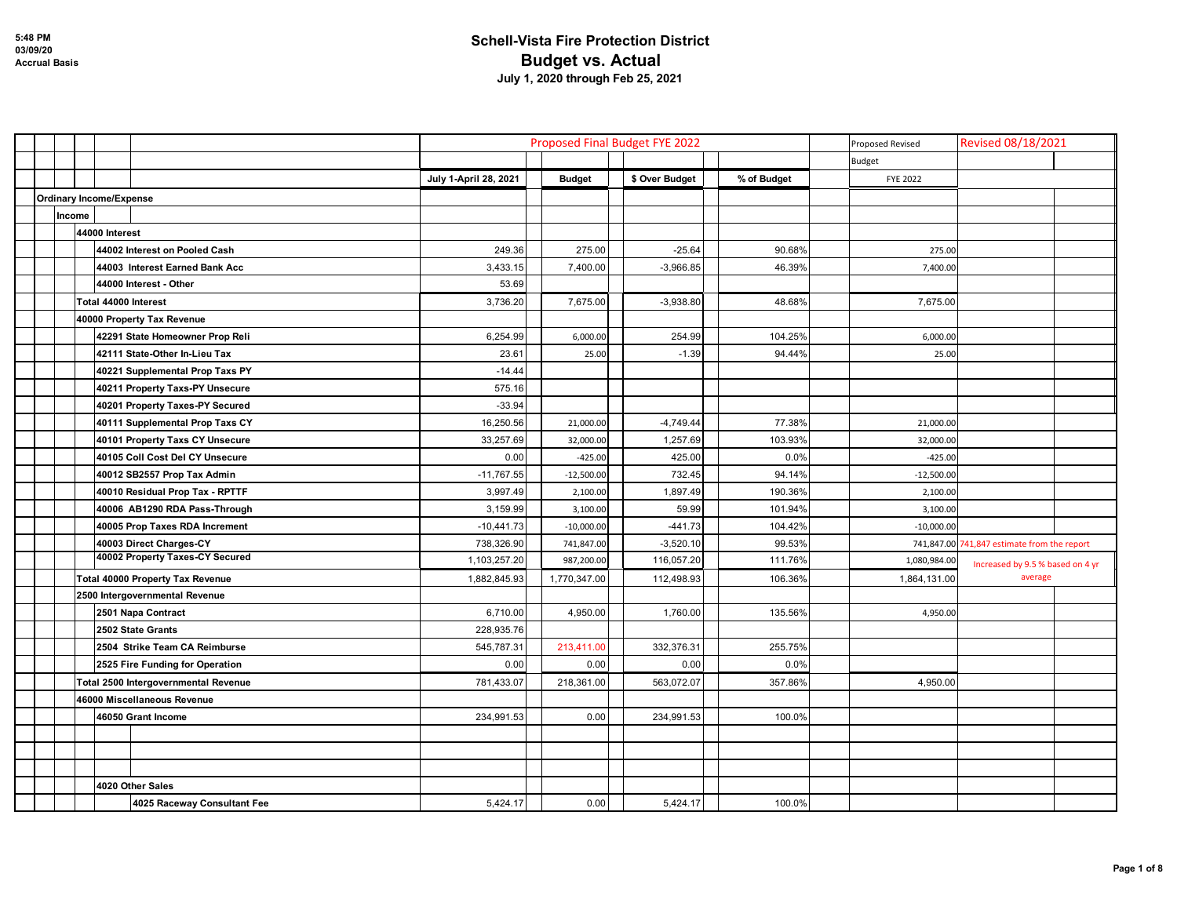|                                |        |                      |                                      |                       |               | Proposed Final Budget FYE 2022 | Proposed Revised | Revised 08/18/2021 |                                             |  |
|--------------------------------|--------|----------------------|--------------------------------------|-----------------------|---------------|--------------------------------|------------------|--------------------|---------------------------------------------|--|
|                                |        |                      |                                      |                       |               |                                |                  | Budget             |                                             |  |
|                                |        |                      |                                      | July 1-April 28, 2021 | <b>Budget</b> | \$ Over Budget                 | % of Budget      | <b>FYE 2022</b>    |                                             |  |
| <b>Ordinary Income/Expense</b> |        |                      |                                      |                       |               |                                |                  |                    |                                             |  |
|                                | Income |                      |                                      |                       |               |                                |                  |                    |                                             |  |
|                                |        | 44000 Interest       |                                      |                       |               |                                |                  |                    |                                             |  |
|                                |        |                      | 44002 Interest on Pooled Cash        | 249.36                | 275.00        | $-25.64$                       | 90.68%           | 275.00             |                                             |  |
|                                |        |                      | 44003 Interest Earned Bank Acc       | 3,433.15              | 7,400.00      | $-3,966.85$                    | 46.39%           | 7,400.00           |                                             |  |
|                                |        |                      | 44000 Interest - Other               | 53.69                 |               |                                |                  |                    |                                             |  |
|                                |        | Total 44000 Interest |                                      | 3,736.20              | 7,675.00      | $-3,938.80$                    | 48.68%           | 7,675.00           |                                             |  |
|                                |        |                      | 40000 Property Tax Revenue           |                       |               |                                |                  |                    |                                             |  |
|                                |        |                      | 42291 State Homeowner Prop Reli      | 6,254.99              | 6,000.00      | 254.99                         | 104.25%          | 6,000.00           |                                             |  |
|                                |        |                      | 42111 State-Other In-Lieu Tax        | 23.61                 | 25.00         | $-1.39$                        | 94.44%           | 25.00              |                                             |  |
|                                |        |                      | 40221 Supplemental Prop Taxs PY      | $-14.44$              |               |                                |                  |                    |                                             |  |
|                                |        |                      | 40211 Property Taxs-PY Unsecure      | 575.16                |               |                                |                  |                    |                                             |  |
|                                |        |                      | 40201 Property Taxes-PY Secured      | $-33.94$              |               |                                |                  |                    |                                             |  |
|                                |        |                      | 40111 Supplemental Prop Taxs CY      | 16,250.56             | 21,000.00     | $-4,749.44$                    | 77.38%           | 21,000.00          |                                             |  |
|                                |        |                      | 40101 Property Taxs CY Unsecure      | 33,257.69             | 32,000.00     | 1,257.69                       | 103.93%          | 32,000.00          |                                             |  |
|                                |        |                      | 40105 Coll Cost Del CY Unsecure      | 0.00                  | $-425.00$     | 425.00                         | 0.0%             | $-425.00$          |                                             |  |
|                                |        |                      | 40012 SB2557 Prop Tax Admin          | $-11,767.55$          | $-12,500.00$  | 732.45                         | 94.14%           | $-12,500.00$       |                                             |  |
|                                |        |                      | 40010 Residual Prop Tax - RPTTF      | 3,997.49              | 2,100.00      | 1,897.49                       | 190.36%          | 2,100.00           |                                             |  |
|                                |        |                      | 40006 AB1290 RDA Pass-Through        | 3,159.99              | 3,100.00      | 59.99                          | 101.94%          | 3,100.00           |                                             |  |
|                                |        |                      | 40005 Prop Taxes RDA Increment       | $-10,441.73$          | $-10,000.00$  | $-441.73$                      | 104.42%          | $-10,000.00$       |                                             |  |
|                                |        |                      | 40003 Direct Charges-CY              | 738,326.90            | 741,847.00    | $-3,520.10$                    | 99.53%           |                    | 741,847.00 741,847 estimate from the report |  |
|                                |        |                      | 40002 Property Taxes-CY Secured      | 1,103,257.20          | 987,200.00    | 116,057.20                     | 111.76%          | 1,080,984.00       | Increased by 9.5 % based on 4 yr            |  |
|                                |        |                      | Total 40000 Property Tax Revenue     | 1,882,845.93          | 1,770,347.00  | 112,498.93                     | 106.36%          | 1,864,131.00       | average                                     |  |
|                                |        |                      | 2500 Intergovernmental Revenue       |                       |               |                                |                  |                    |                                             |  |
|                                |        |                      | 2501 Napa Contract                   | 6,710.00              | 4,950.00      | 1,760.00                       | 135.56%          | 4,950.00           |                                             |  |
|                                |        |                      | 2502 State Grants                    | 228,935.76            |               |                                |                  |                    |                                             |  |
|                                |        |                      | 2504 Strike Team CA Reimburse        | 545,787.31            | 213,411.00    | 332,376.31                     | 255.75%          |                    |                                             |  |
|                                |        |                      | 2525 Fire Funding for Operation      | 0.00                  | 0.00          | 0.00                           | 0.0%             |                    |                                             |  |
|                                |        |                      | Total 2500 Intergovernmental Revenue | 781,433.07            | 218,361.00    | 563,072.07                     | 357.86%          | 4,950.00           |                                             |  |
|                                |        |                      | 46000 Miscellaneous Revenue          |                       |               |                                |                  |                    |                                             |  |
|                                |        |                      | 46050 Grant Income                   | 234,991.53            | 0.00          | 234,991.53                     | 100.0%           |                    |                                             |  |
|                                |        |                      |                                      |                       |               |                                |                  |                    |                                             |  |
|                                |        |                      |                                      |                       |               |                                |                  |                    |                                             |  |
|                                |        |                      |                                      |                       |               |                                |                  |                    |                                             |  |
|                                |        |                      | 4020 Other Sales                     |                       |               |                                |                  |                    |                                             |  |
|                                |        |                      | 4025 Raceway Consultant Fee          | 5,424.17              | 0.00          | 5,424.17                       | 100.0%           |                    |                                             |  |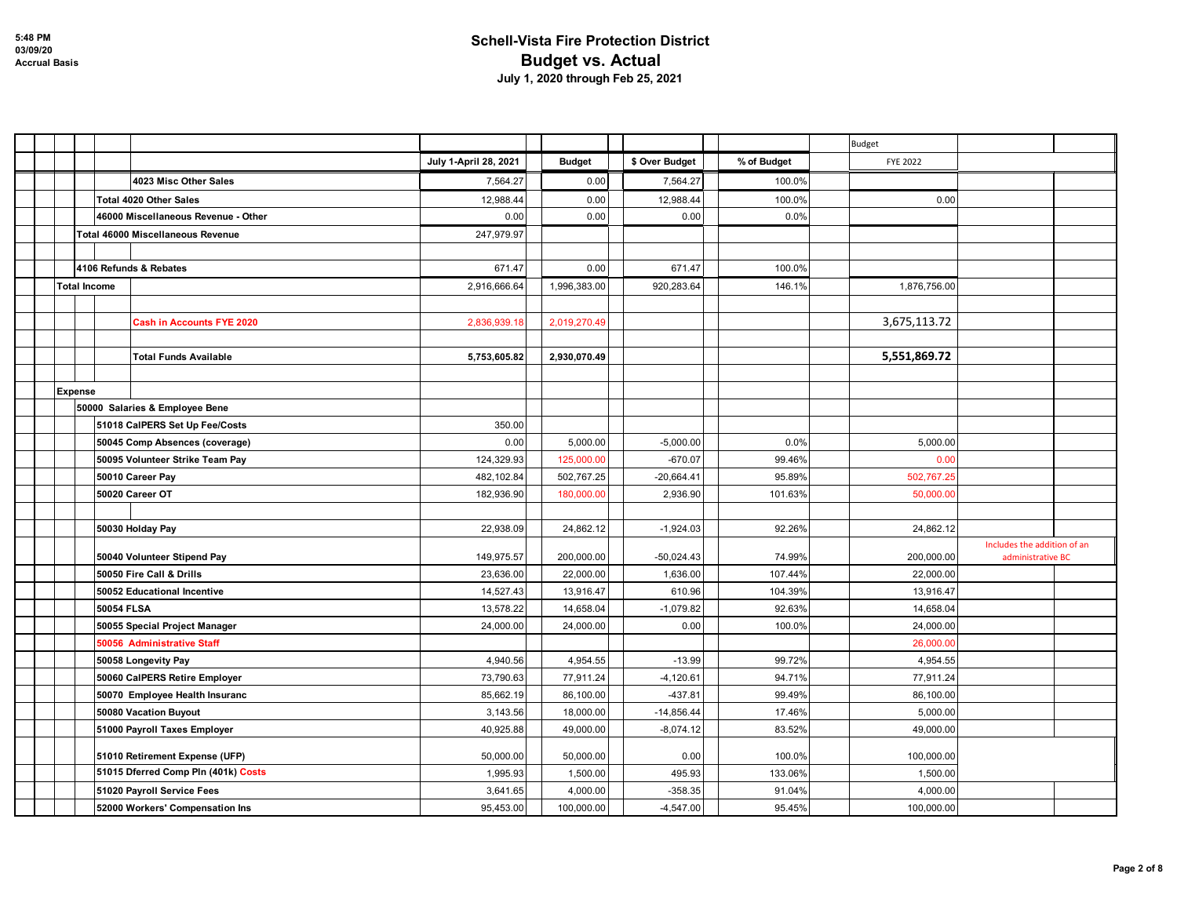|                     |                                     |                       |               |                |             | Budget          |                             |
|---------------------|-------------------------------------|-----------------------|---------------|----------------|-------------|-----------------|-----------------------------|
|                     |                                     | July 1-April 28, 2021 | <b>Budget</b> | \$ Over Budget | % of Budget | <b>FYE 2022</b> |                             |
|                     | 4023 Misc Other Sales               | 7,564.27              | 0.00          | 7,564.27       | 100.0%      |                 |                             |
|                     | Total 4020 Other Sales              | 12,988.44             | 0.00          | 12,988.44      | 100.0%      | 0.00            |                             |
|                     | 46000 Miscellaneous Revenue - Other | 0.00                  | 0.00          | 0.00           | 0.0%        |                 |                             |
|                     | Total 46000 Miscellaneous Revenue   | 247,979.97            |               |                |             |                 |                             |
|                     |                                     |                       |               |                |             |                 |                             |
|                     | 4106 Refunds & Rebates              | 671.47                | 0.00          | 671.47         | 100.0%      |                 |                             |
| <b>Total Income</b> |                                     | 2,916,666.64          | 1,996,383.00  | 920,283.64     | 146.1%      | 1,876,756.00    |                             |
|                     |                                     |                       |               |                |             |                 |                             |
|                     | <b>Cash in Accounts FYE 2020</b>    | 2,836,939.18          | 2,019,270.49  |                |             | 3,675,113.72    |                             |
|                     |                                     |                       |               |                |             |                 |                             |
|                     | <b>Total Funds Available</b>        | 5,753,605.82          | 2,930,070.49  |                |             | 5,551,869.72    |                             |
|                     |                                     |                       |               |                |             |                 |                             |
| <b>Expense</b>      |                                     |                       |               |                |             |                 |                             |
|                     | 50000 Salaries & Employee Bene      |                       |               |                |             |                 |                             |
|                     | 51018 CalPERS Set Up Fee/Costs      | 350.00                |               |                |             |                 |                             |
|                     | 50045 Comp Absences (coverage)      | 0.00                  | 5,000.00      | $-5,000.00$    | 0.0%        | 5,000.00        |                             |
|                     | 50095 Volunteer Strike Team Pay     | 124,329.93            | 125,000.00    | $-670.07$      | 99.46%      | 0.00            |                             |
|                     | 50010 Career Pay                    | 482,102.84            | 502,767.25    | $-20,664.41$   | 95.89%      | 502,767.25      |                             |
|                     | 50020 Career OT                     | 182,936.90            | 180,000.00    | 2,936.90       | 101.63%     | 50,000.00       |                             |
|                     |                                     |                       |               |                |             |                 |                             |
|                     | 50030 Holday Pay                    | 22,938.09             | 24,862.12     | $-1,924.03$    | 92.26%      | 24,862.12       | Includes the addition of an |
|                     | 50040 Volunteer Stipend Pay         | 149,975.57            | 200,000.00    | $-50,024.43$   | 74.99%      | 200,000.00      | administrative BC           |
|                     | 50050 Fire Call & Drills            | 23,636.00             | 22,000.00     | 1,636.00       | 107.44%     | 22,000.00       |                             |
|                     | 50052 Educational Incentive         | 14,527.43             | 13,916.47     | 610.96         | 104.39%     | 13,916.47       |                             |
| 50054 FLSA          |                                     | 13,578.22             | 14,658.04     | $-1,079.82$    | 92.63%      | 14,658.04       |                             |
|                     | 50055 Special Project Manager       | 24,000.00             | 24,000.00     | 0.00           | 100.0%      | 24,000.00       |                             |
|                     | 50056 Administrative Staff          |                       |               |                |             | 26,000.00       |                             |
|                     | 50058 Longevity Pay                 | 4,940.56              | 4,954.55      | $-13.99$       | 99.72%      | 4,954.55        |                             |
|                     | 50060 CalPERS Retire Employer       | 73,790.63             | 77,911.24     | $-4,120.61$    | 94.71%      | 77,911.24       |                             |
|                     | 50070 Employee Health Insuranc      | 85,662.19             | 86,100.00     | $-437.81$      | 99.49%      | 86,100.00       |                             |
|                     | 50080 Vacation Buyout               | 3,143.56              | 18,000.00     | $-14,856.44$   | 17.46%      | 5,000.00        |                             |
|                     | 51000 Payroll Taxes Employer        | 40,925.88             | 49,000.00     | $-8,074.12$    | 83.52%      | 49,000.00       |                             |
|                     | 51010 Retirement Expense (UFP)      | 50,000.00             | 50,000.00     | 0.00           | 100.0%      | 100,000.00      |                             |
|                     | 51015 Dferred Comp Pln (401k) Costs | 1,995.93              | 1,500.00      | 495.93         | 133.06%     | 1,500.00        |                             |
|                     | 51020 Payroll Service Fees          | 3,641.65              | 4,000.00      | $-358.35$      | 91.04%      | 4,000.00        |                             |
|                     | 52000 Workers' Compensation Ins     | 95,453.00             | 100,000.00    | $-4,547.00$    | 95.45%      | 100,000.00      |                             |
|                     |                                     |                       |               |                |             |                 |                             |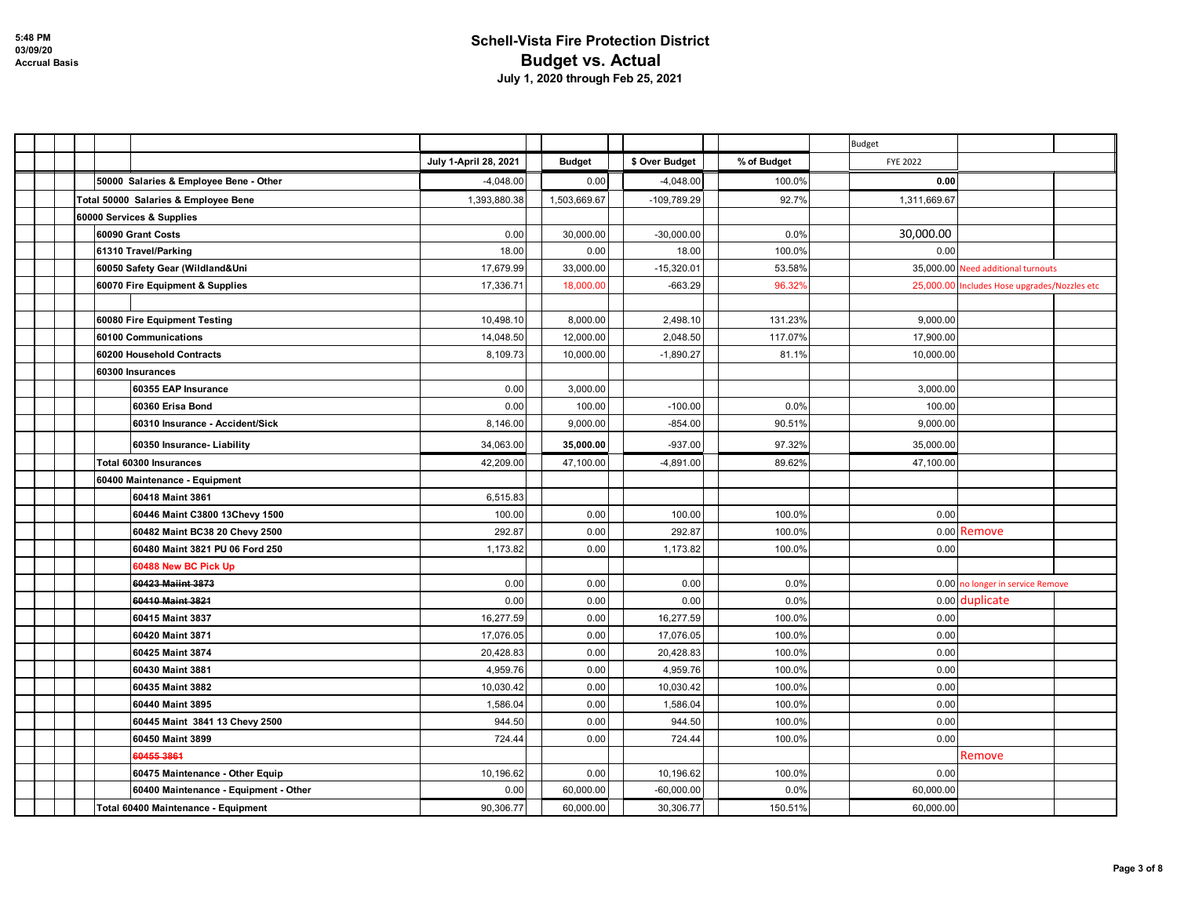|                                        |                       |               |                |             | Budget                                       |  |
|----------------------------------------|-----------------------|---------------|----------------|-------------|----------------------------------------------|--|
|                                        | July 1-April 28, 2021 | <b>Budget</b> | \$ Over Budget | % of Budget | <b>FYE 2022</b>                              |  |
| 50000 Salaries & Employee Bene - Other | $-4,048.00$           | 0.00          | $-4,048.00$    | 100.0%      | 0.00                                         |  |
| Total 50000 Salaries & Employee Bene   | 1,393,880.38          | 1,503,669.67  | -109,789.29    | 92.7%       | 1,311,669.67                                 |  |
| 60000 Services & Supplies              |                       |               |                |             |                                              |  |
| 60090 Grant Costs                      | 0.00                  | 30,000.00     | $-30,000.00$   | 0.0%        | 30,000.00                                    |  |
| 61310 Travel/Parking                   | 18.00                 | 0.00          | 18.00          | 100.0%      | 0.00                                         |  |
| 60050 Safety Gear (Wildland&Uni        | 17,679.99             | 33,000.00     | $-15,320.01$   | 53.58%      | 35,000.00 Need additional turnouts           |  |
| 60070 Fire Equipment & Supplies        | 17,336.71             | 18,000.00     | $-663.29$      | 96.32%      | 25,000.00 Includes Hose upgrades/Nozzles etc |  |
|                                        |                       |               |                |             |                                              |  |
| 60080 Fire Equipment Testing           | 10,498.10             | 8,000.00      | 2,498.10       | 131.23%     | 9,000.00                                     |  |
| 60100 Communications                   | 14,048.50             | 12,000.00     | 2,048.50       | 117.07%     | 17,900.00                                    |  |
| 60200 Household Contracts              | 8,109.73              | 10,000.00     | $-1,890.27$    | 81.1%       | 10,000.00                                    |  |
| 60300 Insurances                       |                       |               |                |             |                                              |  |
| 60355 EAP Insurance                    | 0.00                  | 3,000.00      |                |             | 3,000.00                                     |  |
| 60360 Erisa Bond                       | 0.00                  | 100.00        | $-100.00$      | 0.0%        | 100.00                                       |  |
| 60310 Insurance - Accident/Sick        | 8,146.00              | 9,000.00      | $-854.00$      | 90.51%      | 9,000.00                                     |  |
| 60350 Insurance- Liability             | 34,063.00             | 35,000.00     | $-937.00$      | 97.32%      | 35,000.00                                    |  |
| Total 60300 Insurances                 | 42,209.00             | 47,100.00     | $-4,891.00$    | 89.62%      | 47,100.00                                    |  |
| 60400 Maintenance - Equipment          |                       |               |                |             |                                              |  |
| 60418 Maint 3861                       | 6,515.83              |               |                |             |                                              |  |
| 60446 Maint C3800 13Chevy 1500         | 100.00                | 0.00          | 100.00         | 100.0%      | 0.00                                         |  |
| 60482 Maint BC38 20 Chevy 2500         | 292.87                | 0.00          | 292.87         | 100.0%      | 0.00 Remove                                  |  |
| 60480 Maint 3821 PU 06 Ford 250        | 1,173.82              | 0.00          | 1,173.82       | 100.0%      | 0.00                                         |  |
| 60488 New BC Pick Up                   |                       |               |                |             |                                              |  |
| 60423 Maiint 3873                      | 0.00                  | 0.00          | 0.00           | 0.0%        | 0.00 no longer in service Remove             |  |
| 60410 Maint 3821                       | 0.00                  | 0.00          | 0.00           | 0.0%        | 0.00 duplicate                               |  |
| 60415 Maint 3837                       | 16,277.59             | 0.00          | 16,277.59      | 100.0%      | 0.00                                         |  |
| 60420 Maint 3871                       | 17,076.05             | 0.00          | 17,076.05      | 100.0%      | 0.00                                         |  |
| 60425 Maint 3874                       | 20,428.83             | 0.00          | 20,428.83      | 100.0%      | 0.00                                         |  |
| 60430 Maint 3881                       | 4,959.76              | 0.00          | 4,959.76       | 100.0%      | 0.00                                         |  |
| 60435 Maint 3882                       | 10,030.42             | 0.00          | 10,030.42      | 100.0%      | 0.00                                         |  |
| 60440 Maint 3895                       | 1,586.04              | 0.00          | 1,586.04       | 100.0%      | 0.00                                         |  |
| 60445 Maint 3841 13 Chevy 2500         | 944.50                | 0.00          | 944.50         | 100.0%      | 0.00                                         |  |
| 60450 Maint 3899                       | 724.44                | 0.00          | 724.44         | 100.0%      | 0.00                                         |  |
| 604553861                              |                       |               |                |             | Remove                                       |  |
| 60475 Maintenance - Other Equip        | 10,196.62             | 0.00          | 10,196.62      | 100.0%      | 0.00                                         |  |
| 60400 Maintenance - Equipment - Other  | 0.00                  | 60,000.00     | $-60,000.00$   | 0.0%        | 60,000.00                                    |  |
| Total 60400 Maintenance - Equipment    | 90,306.77             | 60,000.00     | 30,306.77      | 150.51%     | 60,000.00                                    |  |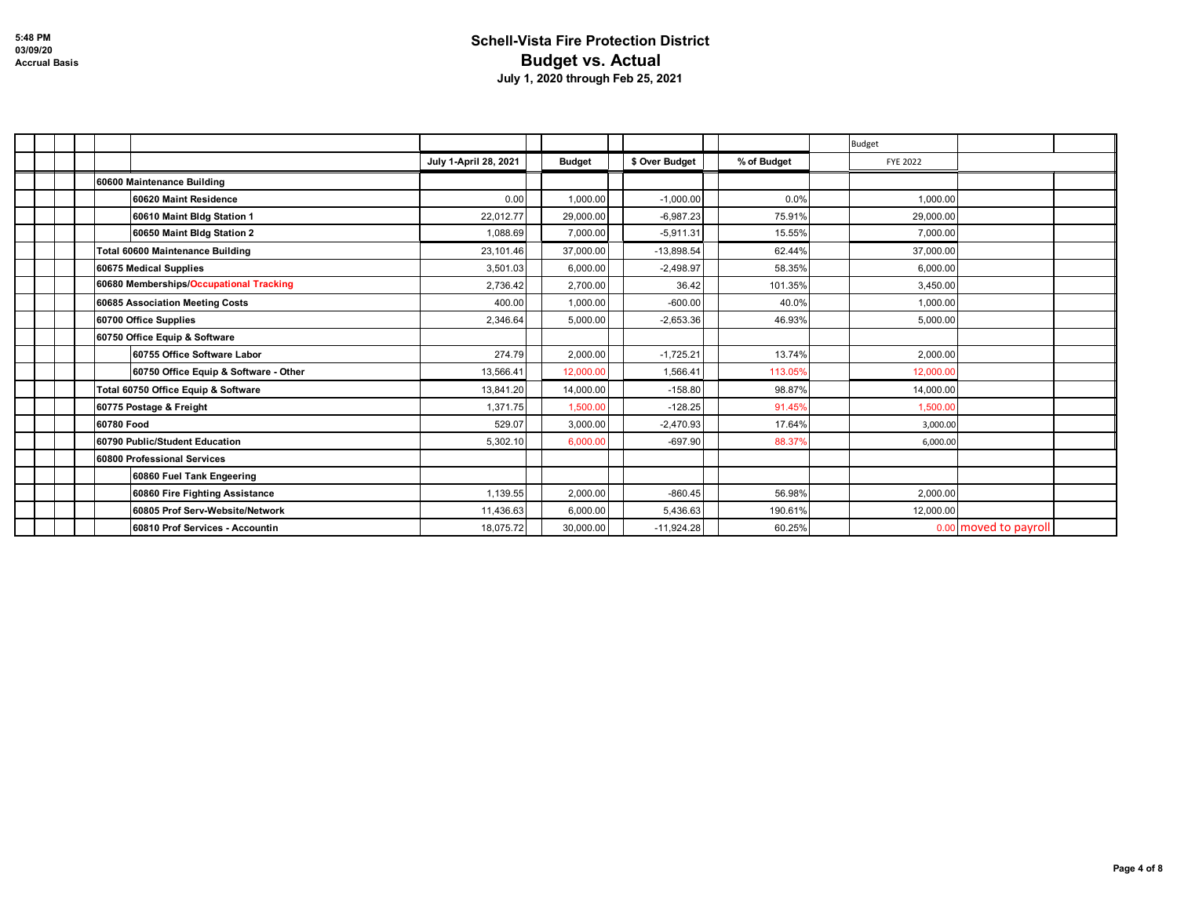|                                         |                       |               |                |             | <b>Budget</b>   |                       |
|-----------------------------------------|-----------------------|---------------|----------------|-------------|-----------------|-----------------------|
|                                         | July 1-April 28, 2021 | <b>Budget</b> | \$ Over Budget | % of Budget | <b>FYE 2022</b> |                       |
| 60600 Maintenance Building              |                       |               |                |             |                 |                       |
| 60620 Maint Residence                   | 0.00                  | 1,000.00      | $-1,000.00$    | 0.0%        | 1,000.00        |                       |
| 60610 Maint Bldg Station 1              | 22,012.77             | 29,000.00     | $-6,987.23$    | 75.91%      | 29,000.00       |                       |
| 60650 Maint Bldg Station 2              | 1,088.69              | 7,000.00      | $-5,911.31$    | 15.55%      | 7,000.00        |                       |
| Total 60600 Maintenance Building        | 23,101.46             | 37,000.00     | $-13.898.54$   | 62.44%      | 37,000.00       |                       |
| 60675 Medical Supplies                  | 3,501.03              | 6,000.00      | $-2,498.97$    | 58.35%      | 6,000.00        |                       |
| 60680 Memberships/Occupational Tracking | 2,736.42              | 2,700.00      | 36.42          | 101.35%     | 3,450.00        |                       |
| 60685 Association Meeting Costs         | 400.00                | 1,000.00      | $-600.00$      | 40.0%       | 1,000.00        |                       |
| 60700 Office Supplies                   | 2,346.64              | 5,000.00      | $-2,653.36$    | 46.93%      | 5,000.00        |                       |
| 60750 Office Equip & Software           |                       |               |                |             |                 |                       |
| 60755 Office Software Labor             | 274.79                | 2,000.00      | $-1,725.21$    | 13.74%      | 2,000.00        |                       |
| 60750 Office Equip & Software - Other   | 13,566.41             | 12,000.00     | 1,566.41       | 113.05%     | 12,000.00       |                       |
| Total 60750 Office Equip & Software     | 13,841.20             | 14,000.00     | $-158.80$      | 98.87%      | 14,000.00       |                       |
| 60775 Postage & Freight                 | 1.371.75              | 1.500.00      | $-128.25$      | 91.45%      | 1.500.00        |                       |
| 60780 Food                              | 529.07                | 3,000.00      | $-2,470.93$    | 17.64%      | 3,000.00        |                       |
| 60790 Public/Student Education          | 5,302.10              | 6,000.00      | $-697.90$      | 88.37%      | 6,000.00        |                       |
| 60800 Professional Services             |                       |               |                |             |                 |                       |
| 60860 Fuel Tank Engeering               |                       |               |                |             |                 |                       |
| 60860 Fire Fighting Assistance          | 1,139.55              | 2,000.00      | $-860.45$      | 56.98%      | 2,000.00        |                       |
| 60805 Prof Serv-Website/Network         | 11,436.63             | 6,000.00      | 5,436.63       | 190.61%     | 12,000.00       |                       |
| 60810 Prof Services - Accountin         | 18,075.72             | 30,000.00     | $-11,924.28$   | 60.25%      |                 | 0.00 moved to payroll |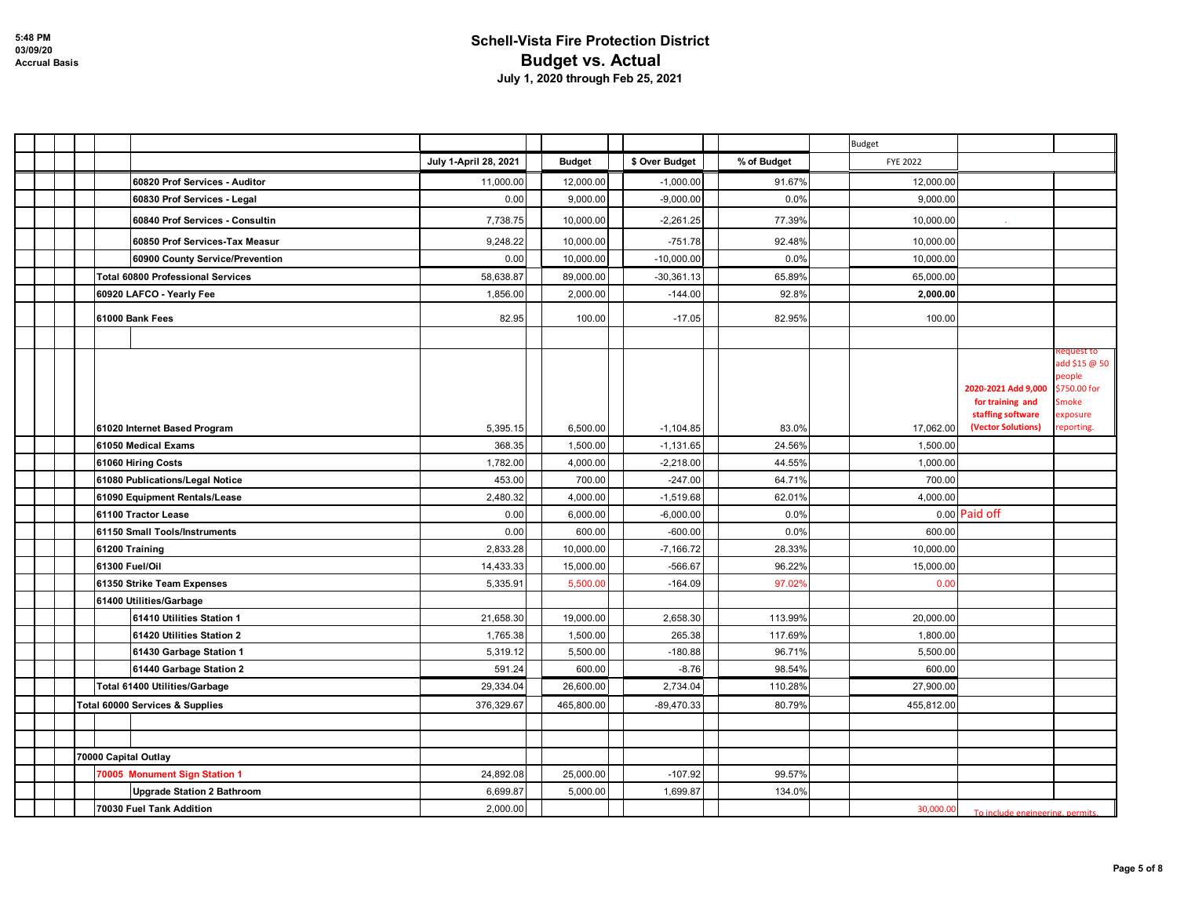|  |                                                       |                       |                      |                            |                  | Budget               |                                         |                                                               |
|--|-------------------------------------------------------|-----------------------|----------------------|----------------------------|------------------|----------------------|-----------------------------------------|---------------------------------------------------------------|
|  |                                                       | July 1-April 28, 2021 | <b>Budget</b>        | \$ Over Budget             | % of Budget      | <b>FYE 2022</b>      |                                         |                                                               |
|  | 60820 Prof Services - Auditor                         | 11,000.00             | 12,000.00            | $-1,000.00$                | 91.67%           | 12,000.00            |                                         |                                                               |
|  | 60830 Prof Services - Legal                           | 0.00                  | 9,000.00             | $-9,000.00$                | 0.0%             | 9,000.00             |                                         |                                                               |
|  | 60840 Prof Services - Consultin                       | 7,738.75              | 10,000.00            | $-2,261.25$                | 77.39%           | 10,000.00            |                                         |                                                               |
|  | 60850 Prof Services-Tax Measur                        | 9,248.22              | 10,000.00            | $-751.78$                  | 92.48%           | 10,000.00            |                                         |                                                               |
|  | 60900 County Service/Prevention                       | 0.00                  | 10,000.00            | $-10,000.00$               | 0.0%             | 10,000.00            |                                         |                                                               |
|  | <b>Total 60800 Professional Services</b>              | 58,638.87             | 89,000.00            | $-30,361.13$               | 65.89%           | 65,000.00            |                                         |                                                               |
|  | 60920 LAFCO - Yearly Fee                              | 1,856.00              | 2,000.00             | $-144.00$                  | 92.8%            | 2,000.00             |                                         |                                                               |
|  | 61000 Bank Fees                                       | 82.95                 | 100.00               | $-17.05$                   | 82.95%           | 100.00               |                                         |                                                               |
|  |                                                       |                       |                      |                            |                  |                      |                                         |                                                               |
|  |                                                       |                       |                      |                            |                  |                      | 2020-2021 Add 9,000<br>for training and | equest to<br>add \$15 @ 50<br>people<br>\$750.00 for<br>Smoke |
|  |                                                       |                       |                      |                            |                  |                      | staffing software                       | exposure                                                      |
|  | 61020 Internet Based Program                          | 5,395.15              | 6,500.00             | $-1,104.85$                | 83.0%            | 17,062.00            | (Vector Solutions)                      | reporting.                                                    |
|  | 61050 Medical Exams                                   | 368.35<br>1,782.00    | 1,500.00<br>4,000.00 | $-1,131.65$<br>$-2,218.00$ | 24.56%<br>44.55% | 1,500.00<br>1,000.00 |                                         |                                                               |
|  | 61060 Hiring Costs<br>61080 Publications/Legal Notice | 453.00                | 700.00               | $-247.00$                  | 64.71%           | 700.00               |                                         |                                                               |
|  | 61090 Equipment Rentals/Lease                         | 2,480.32              | 4,000.00             | $-1,519.68$                | 62.01%           | 4,000.00             |                                         |                                                               |
|  | 61100 Tractor Lease                                   | 0.00                  | 6,000.00             | $-6,000.00$                | 0.0%             |                      | 0.00 Paid off                           |                                                               |
|  | 61150 Small Tools/Instruments                         | 0.00                  | 600.00               | $-600.00$                  | 0.0%             | 600.00               |                                         |                                                               |
|  | 61200 Training                                        | 2,833.28              | 10,000.00            | $-7,166.72$                | 28.33%           | 10,000.00            |                                         |                                                               |
|  | 61300 Fuel/Oil                                        | 14,433.33             | 15,000.00            | $-566.67$                  | 96.22%           | 15,000.00            |                                         |                                                               |
|  | 61350 Strike Team Expenses                            | 5,335.91              | 5,500.00             | $-164.09$                  | 97.02%           | 0.00                 |                                         |                                                               |
|  | 61400 Utilities/Garbage                               |                       |                      |                            |                  |                      |                                         |                                                               |
|  | 61410 Utilities Station 1                             | 21,658.30             | 19,000.00            | 2,658.30                   | 113.99%          | 20,000.00            |                                         |                                                               |
|  | 61420 Utilities Station 2                             | 1,765.38              | 1,500.00             | 265.38                     | 117.69%          | 1,800.00             |                                         |                                                               |
|  | 61430 Garbage Station 1                               | 5,319.12              | 5,500.00             | $-180.88$                  | 96.71%           | 5,500.00             |                                         |                                                               |
|  | 61440 Garbage Station 2                               | 591.24                | 600.00               | $-8.76$                    | 98.54%           | 600.00               |                                         |                                                               |
|  | Total 61400 Utilities/Garbage                         | 29,334.04             | 26,600.00            | 2,734.04                   | 110.28%          | 27,900.00            |                                         |                                                               |
|  | Total 60000 Services & Supplies                       | 376,329.67            | 465,800.00           | $-89,470.33$               | 80.79%           | 455,812.00           |                                         |                                                               |
|  |                                                       |                       |                      |                            |                  |                      |                                         |                                                               |
|  |                                                       |                       |                      |                            |                  |                      |                                         |                                                               |
|  | 70000 Capital Outlay                                  |                       |                      |                            |                  |                      |                                         |                                                               |
|  | 70005 Monument Sign Station 1                         | 24,892.08             | 25,000.00            | $-107.92$                  | 99.57%           |                      |                                         |                                                               |
|  | <b>Upgrade Station 2 Bathroom</b>                     | 6,699.87              | 5,000.00             | 1,699.87                   | 134.0%           |                      |                                         |                                                               |
|  | 70030 Fuel Tank Addition                              | 2,000.00              |                      |                            |                  | 30,000.00            | To include engineering, permit          |                                                               |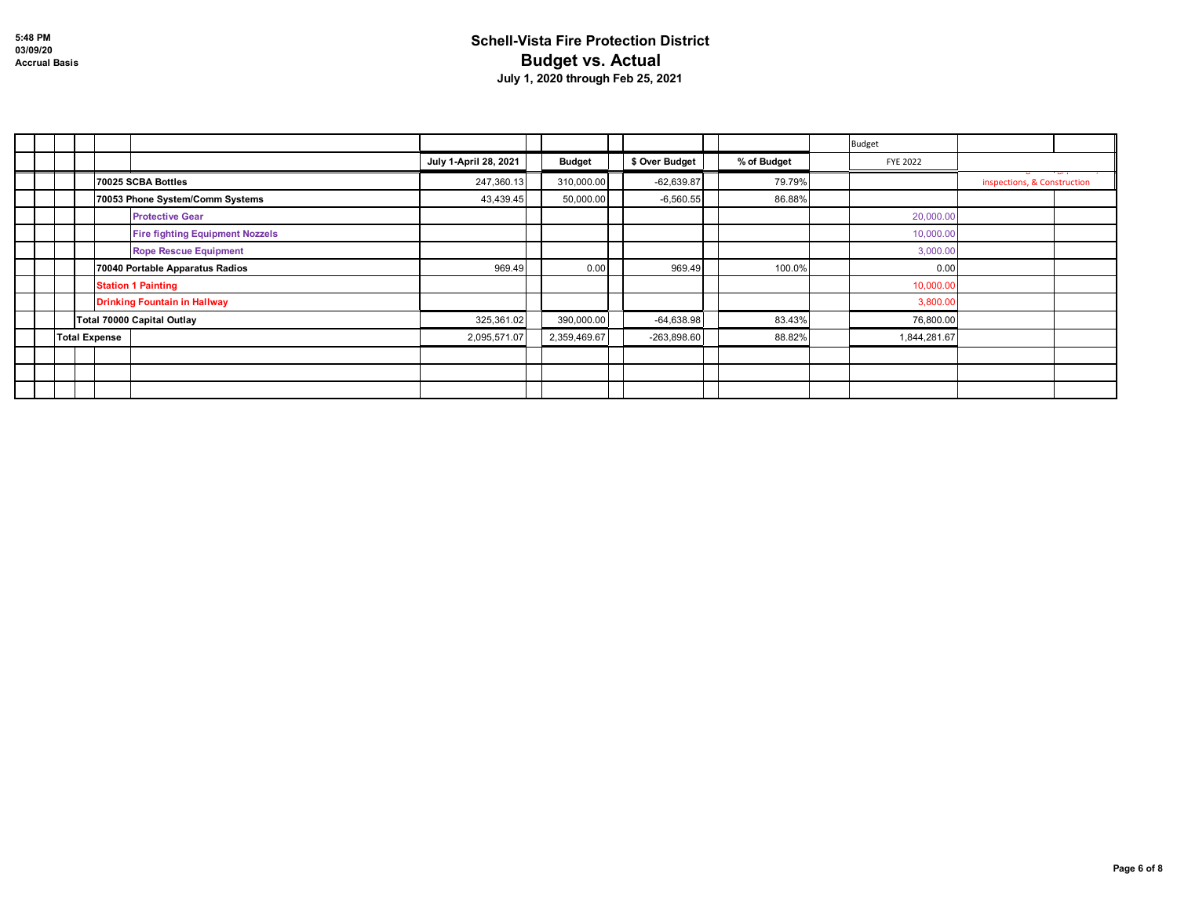|                                        |                       |               |                |             | <b>Budget</b>   |                                     |
|----------------------------------------|-----------------------|---------------|----------------|-------------|-----------------|-------------------------------------|
|                                        | July 1-April 28, 2021 | <b>Budget</b> | \$ Over Budget | % of Budget | <b>FYE 2022</b> |                                     |
| 70025 SCBA Bottles                     | 247,360.13            | 310,000.00    | $-62,639.87$   | 79.79%      |                 | ، مت<br>inspections, & Construction |
| 70053 Phone System/Comm Systems        | 43,439.45             | 50,000.00     | $-6,560.55$    | 86.88%      |                 |                                     |
| <b>Protective Gear</b>                 |                       |               |                |             | 20,000.00       |                                     |
| <b>Fire fighting Equipment Nozzels</b> |                       |               |                |             | 10,000.00       |                                     |
| <b>Rope Rescue Equipment</b>           |                       |               |                |             | 3,000.00        |                                     |
| 70040 Portable Apparatus Radios        | 969.49                | 0.00          | 969.49         | 100.0%      | 0.00            |                                     |
| <b>Station 1 Painting</b>              |                       |               |                |             | 10,000.00       |                                     |
| <b>Drinking Fountain in Hallway</b>    |                       |               |                |             | 3,800.00        |                                     |
| Total 70000 Capital Outlay             | 325,361.02            | 390,000.00    | $-64,638.98$   | 83.43%      | 76,800.00       |                                     |
| <b>Total Expense</b>                   | 2,095,571.07          | 2,359,469.67  | $-263,898.60$  | 88.82%      | 1,844,281.67    |                                     |
|                                        |                       |               |                |             |                 |                                     |
|                                        |                       |               |                |             |                 |                                     |
|                                        |                       |               |                |             |                 |                                     |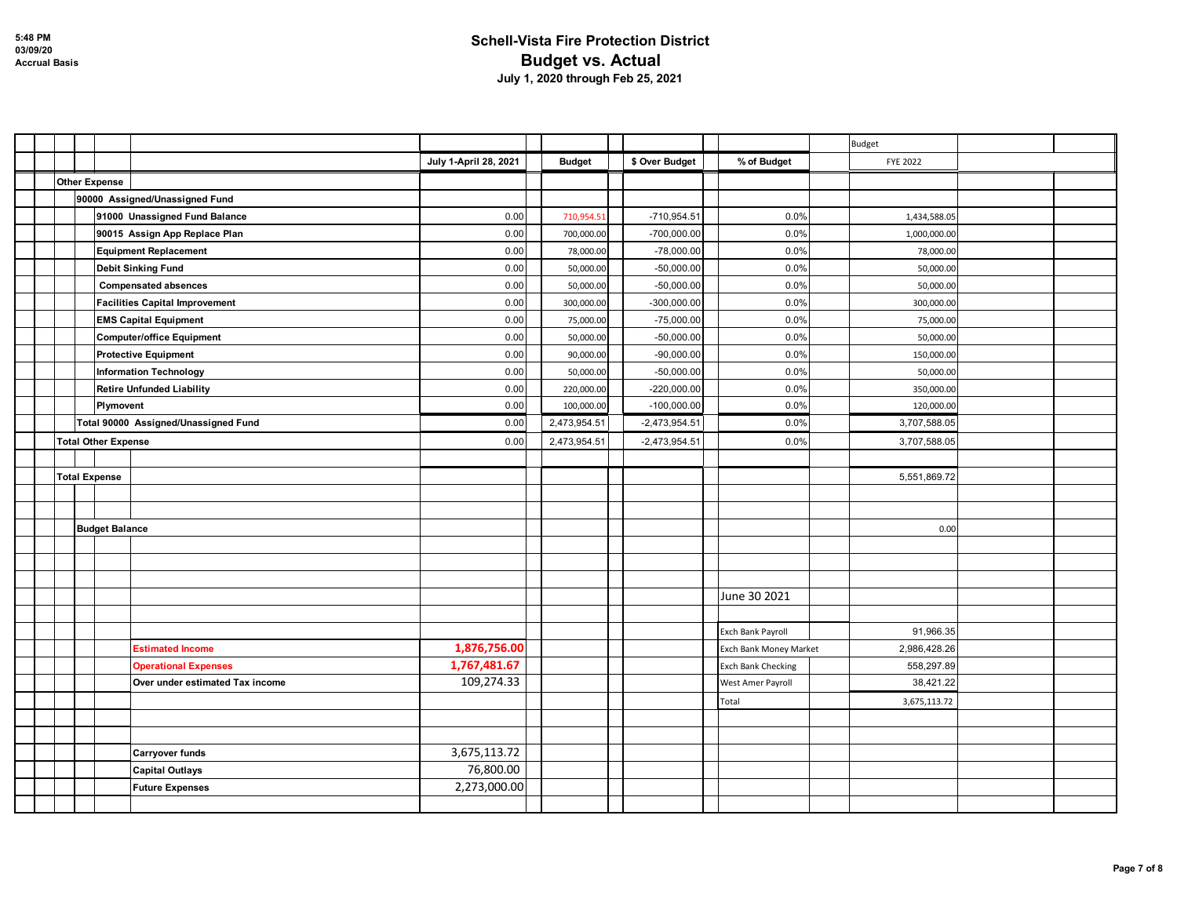|  |                            |                                       |                       |               |                 |                           | Budget          |  |
|--|----------------------------|---------------------------------------|-----------------------|---------------|-----------------|---------------------------|-----------------|--|
|  |                            |                                       | July 1-April 28, 2021 | <b>Budget</b> | \$ Over Budget  | % of Budget               | <b>FYE 2022</b> |  |
|  | <b>Other Expense</b>       |                                       |                       |               |                 |                           |                 |  |
|  |                            | 90000 Assigned/Unassigned Fund        |                       |               |                 |                           |                 |  |
|  |                            | 91000 Unassigned Fund Balance         | 0.00                  | 710,954.51    | $-710,954.51$   | 0.0%                      | 1,434,588.05    |  |
|  |                            | 90015 Assign App Replace Plan         | 0.00                  | 700,000.00    | $-700,000.00$   | 0.0%                      | 1,000,000.00    |  |
|  |                            | <b>Equipment Replacement</b>          | 0.00                  | 78,000.00     | $-78,000.00$    | 0.0%                      | 78,000.00       |  |
|  |                            | <b>Debit Sinking Fund</b>             | 0.00                  | 50,000.00     | $-50,000.00$    | 0.0%                      | 50,000.00       |  |
|  |                            | <b>Compensated absences</b>           | 0.00                  | 50,000.00     | $-50,000.00$    | 0.0%                      | 50,000.00       |  |
|  |                            | <b>Facilities Capital Improvement</b> | 0.00                  | 300,000.00    | $-300,000.00$   | 0.0%                      | 300,000.00      |  |
|  |                            | <b>EMS Capital Equipment</b>          | 0.00                  | 75,000.00     | $-75,000.00$    | 0.0%                      | 75,000.00       |  |
|  |                            | <b>Computer/office Equipment</b>      | 0.00                  | 50,000.00     | $-50,000.00$    | 0.0%                      | 50,000.00       |  |
|  |                            | <b>Protective Equipment</b>           | 0.00                  | 90,000.00     | $-90,000.00$    | 0.0%                      | 150,000.00      |  |
|  |                            | <b>Information Technology</b>         | 0.00                  | 50,000.00     | $-50,000.00$    | 0.0%                      | 50,000.00       |  |
|  |                            | <b>Retire Unfunded Liability</b>      | 0.00                  | 220,000.00    | $-220,000.00$   | 0.0%                      | 350,000.00      |  |
|  | Plymovent                  |                                       | 0.00                  | 100,000.00    | $-100,000.00$   | 0.0%                      | 120,000.00      |  |
|  |                            | Total 90000 Assigned/Unassigned Fund  | 0.00                  | 2,473,954.51  | $-2,473,954.51$ | 0.0%                      | 3,707,588.05    |  |
|  | <b>Total Other Expense</b> |                                       | 0.00                  | 2,473,954.51  | $-2,473,954.51$ | 0.0%                      | 3,707,588.05    |  |
|  |                            |                                       |                       |               |                 |                           |                 |  |
|  | <b>Total Expense</b>       |                                       |                       |               |                 |                           | 5,551,869.72    |  |
|  |                            |                                       |                       |               |                 |                           |                 |  |
|  |                            |                                       |                       |               |                 |                           |                 |  |
|  | <b>Budget Balance</b>      |                                       |                       |               |                 |                           | 0.00            |  |
|  |                            |                                       |                       |               |                 |                           |                 |  |
|  |                            |                                       |                       |               |                 |                           |                 |  |
|  |                            |                                       |                       |               |                 |                           |                 |  |
|  |                            |                                       |                       |               |                 | June 30 2021              |                 |  |
|  |                            |                                       |                       |               |                 |                           |                 |  |
|  |                            |                                       |                       |               |                 | Exch Bank Payroll         | 91,966.35       |  |
|  |                            | <b>Estimated Income</b>               | 1,876,756.00          |               |                 | Exch Bank Money Market    | 2,986,428.26    |  |
|  |                            | <b>Operational Expenses</b>           | 1,767,481.67          |               |                 | <b>Exch Bank Checking</b> | 558,297.89      |  |
|  |                            | Over under estimated Tax income       | 109,274.33            |               |                 | West Amer Payroll         | 38,421.22       |  |
|  |                            |                                       |                       |               |                 | Total                     | 3,675,113.72    |  |
|  |                            |                                       |                       |               |                 |                           |                 |  |
|  |                            |                                       |                       |               |                 |                           |                 |  |
|  |                            | <b>Carryover funds</b>                | 3,675,113.72          |               |                 |                           |                 |  |
|  |                            | <b>Capital Outlays</b>                | 76,800.00             |               |                 |                           |                 |  |
|  |                            | <b>Future Expenses</b>                | 2,273,000.00          |               |                 |                           |                 |  |
|  |                            |                                       |                       |               |                 |                           |                 |  |